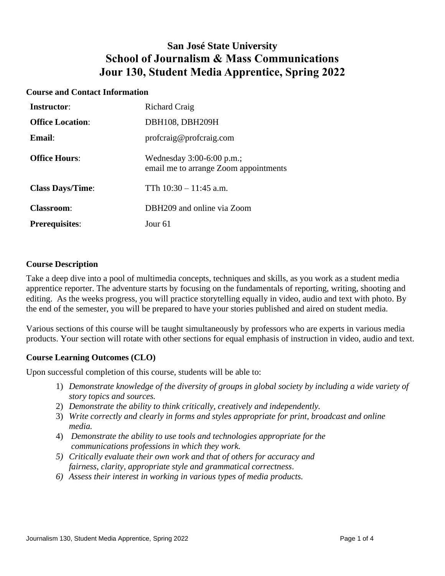# **San José State University School of Journalism & Mass Communications Jour 130, Student Media Apprentice, Spring 2022**

#### **Course and Contact Information**

| <b>Instructor:</b>      | <b>Richard Craig</b>                                               |
|-------------------------|--------------------------------------------------------------------|
| <b>Office Location:</b> | DBH108, DBH209H                                                    |
| <b>Email:</b>           | proferaig@proferaig.com                                            |
| <b>Office Hours:</b>    | Wednesday 3:00-6:00 p.m.;<br>email me to arrange Zoom appointments |
| <b>Class Days/Time:</b> | TTh $10:30 - 11:45$ a.m.                                           |
| <b>Classroom:</b>       | DBH209 and online via Zoom                                         |
| <b>Prerequisites:</b>   | Jour 61                                                            |

#### **Course Description**

Take a deep dive into a pool of multimedia concepts, techniques and skills, as you work as a student media apprentice reporter. The adventure starts by focusing on the fundamentals of reporting, writing, shooting and editing. As the weeks progress, you will practice storytelling equally in video, audio and text with photo. By the end of the semester, you will be prepared to have your stories published and aired on student media.

Various sections of this course will be taught simultaneously by professors who are experts in various media products. Your section will rotate with other sections for equal emphasis of instruction in video, audio and text.

#### **Course Learning Outcomes (CLO)**

Upon successful completion of this course, students will be able to:

- 1) *Demonstrate knowledge of the diversity of groups in global society by including a wide variety of story topics and sources.*
- 2) *Demonstrate the ability to think critically, creatively and independently.*
- 3) *Write correctly and clearly in forms and styles appropriate for print, broadcast and online media.*
- 4) *Demonstrate the ability to use tools and technologies appropriate for the communications professions in which they work.*
- *5) Critically evaluate their own work and that of others for accuracy and fairness, clarity, appropriate style and grammatical correctness*.
- *6) Assess their interest in working in various types of media products.*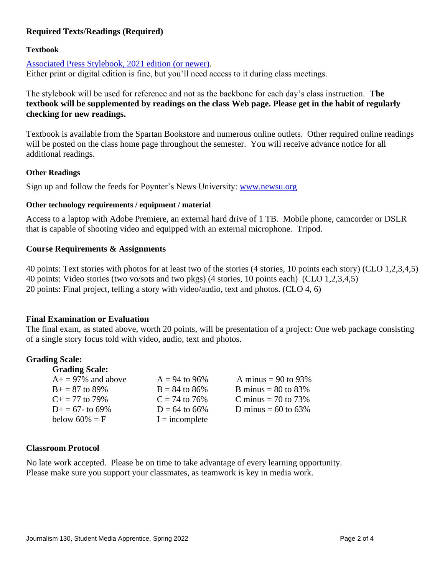## **Required Texts/Readings (Required)**

#### **Textbook**

[Associated Press Stylebook,](https://store.apstylebook.com/2017-ap-stylebook-print-edition.html) 2021 edition (or newer). Either print or digital edition is fine, but you'll need access to it during class meetings.

The stylebook will be used for reference and not as the backbone for each day's class instruction. **The textbook will be supplemented by readings on the class Web page. Please get in the habit of regularly checking for new readings.** 

Textbook is available from the Spartan Bookstore and numerous online outlets. Other required online readings will be posted on the class home page throughout the semester. You will receive advance notice for all additional readings.

#### **Other Readings**

Sign up and follow the feeds for Poynter's News University: [www.newsu.org](http://www.newsu.org/)

#### **Other technology requirements / equipment / material**

Access to a laptop with Adobe Premiere, an external hard drive of 1 TB. Mobile phone, camcorder or DSLR that is capable of shooting video and equipped with an external microphone. Tripod.

#### **Course Requirements & Assignments**

40 points: Text stories with photos for at least two of the stories (4 stories, 10 points each story) (CLO 1,2,3,4,5) 40 points: Video stories (two vo/sots and two pkgs) (4 stories, 10 points each) (CLO 1,2,3,4,5) 20 points: Final project, telling a story with video/audio, text and photos. (CLO 4, 6)

#### **Final Examination or Evaluation**

The final exam, as stated above, worth 20 points, will be presentation of a project: One web package consisting of a single story focus told with video, audio, text and photos.

#### **Grading Scale:**

| <b>Grading Scale:</b>    |                  |                          |
|--------------------------|------------------|--------------------------|
| $A_1$ = 97% and above    | $A = 94$ to 96%  | A minus = $90$ to $93\%$ |
| $B+=87$ to 89%           | $B = 84$ to 86%  | B minus = $80$ to $83\%$ |
| $C_{\rm{+}} = 77$ to 79% | $C = 74$ to 76%  | C minus = $70$ to $73\%$ |
| $D_{+} = 67$ - to 69%    | $D = 64$ to 66%  | D minus = $60$ to $63\%$ |
| below $60\% = F$         | $I = incomplete$ |                          |

#### **Classroom Protocol**

No late work accepted. Please be on time to take advantage of every learning opportunity. Please make sure you support your classmates, as teamwork is key in media work.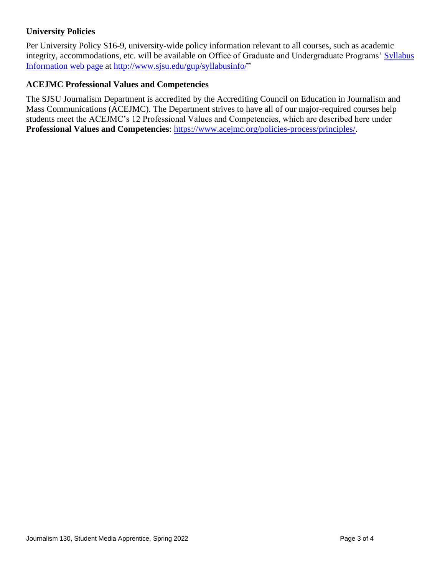# **University Policies**

Per University Policy S16-9, university-wide policy information relevant to all courses, such as academic integrity, accommodations, etc. will be available on Office of Graduate and Undergraduate Programs' [Syllabus](http://www.sjsu.edu/gup/syllabusinfo/)  [Information](http://www.sjsu.edu/gup/syllabusinfo/) web page at [http://www.sjsu.edu/gup/syllabusinfo/"](http://www.sjsu.edu/gup/syllabusinfo/)

### **ACEJMC Professional Values and Competencies**

The SJSU Journalism Department is accredited by the Accrediting Council on Education in Journalism and Mass Communications (ACEJMC). The Department strives to have all of our major-required courses help students meet the ACEJMC's 12 Professional Values and Competencies, which are described here under **Professional Values and Competencies**: [https://www.acejmc.org/policies-process/principles/.](https://www.acejmc.org/policies-process/principles/)